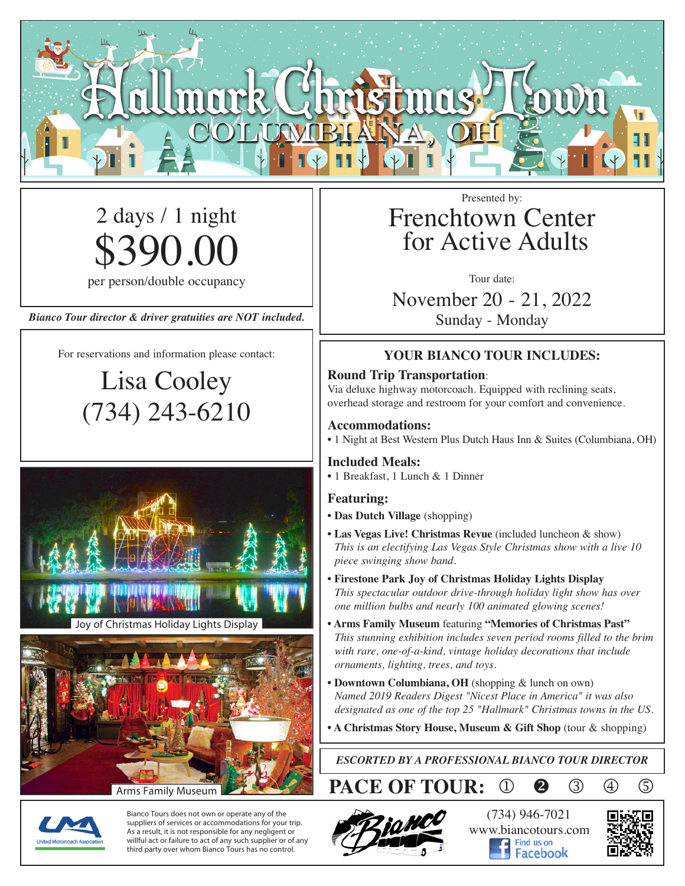

# 2 days / 1 night \$390.00

per person/double occupancy

*Bianco Tour director & driver gratuities are NOT included.*

For reservations and information please contact:

Lisa Cooley (734) 243-6210





Arms Family Museum

Bianco Tours does not own or operate any of the suppliers of services or accommodations for your trip. As a result, it is not responsible for any negligent or willful act or failure to act of any such supplier or of any third party over whom Bianco Tours has no control.

## Frenchtown Center for Active Adults

Tour date:

November 20 - 21, 2022 Sunday - Monday

### **YOUR BIANCO TOUR INCLUDES:**

#### **Round Trip Transportation**:

Via deluxe highway motorcoach. Equipped with reclining seats, overhead storage and restroom for your comfort and convenience.

#### **Accommodations:**

• 1 Night at Best Western Plus Dutch Haus Inn & Suites (Columbiana, OH)

#### **Included Meals:**

• 1 Breakfast, 1 Lunch & 1 Dinner

#### **Featuring:**

- **Das Dutch Village** (shopping)
- **• Las Vegas Live! Christmas Revue** (included luncheon & show) *This is an electifying Las Vegas Style Christmas show with a live 10 piece swinging show band.*
- **• Firestone Park Joy of Christmas Holiday Lights Display** *This spectacular outdoor drive-through holiday light show has over one million bulbs and nearly 100 animated glowing scenes!*
- **• Arms Family Museum** featuring **"Memories of Christmas Past"** *This stunning exhibition includes seven period rooms filled to the brim with rare, one-of-a-kind, vintage holiday decorations that include ornaments, lighting, trees, and toys.*
- **• Downtown Columbiana, OH** (shopping & lunch on own) *Named 2019 Readers Digest "Nicest Place in America" it was also designated as one of the top 25 "Hallmark" Christmas towns in the US.*
- **• A Christmas Story House, Museum & Gift Shop** (tour & shopping)

*ESCORTED BY A PROFESSIONAL BIANCO TOUR DIRECTOR*

**PACE OF TOUR:** 1 **@** 3 4 5



(734) 946-7021 www.biancotours.com Facebook